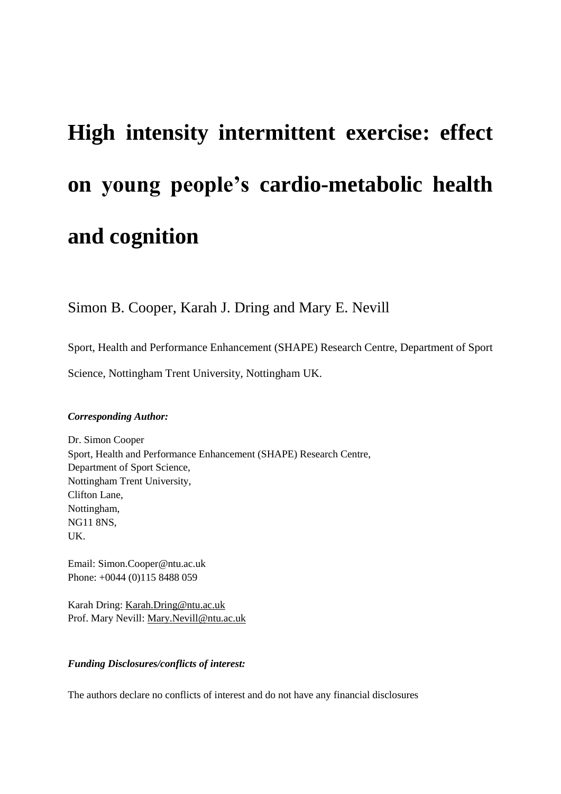# **High intensity intermittent exercise: effect on young people's cardio-metabolic health and cognition**

Simon B. Cooper, Karah J. Dring and Mary E. Nevill

Sport, Health and Performance Enhancement (SHAPE) Research Centre, Department of Sport

Science, Nottingham Trent University, Nottingham UK.

# *Corresponding Author:*

Dr. Simon Cooper Sport, Health and Performance Enhancement (SHAPE) Research Centre, Department of Sport Science, Nottingham Trent University, Clifton Lane, Nottingham, NG11 8NS, UK.

Email: [Simon.Cooper@ntu.ac.uk](mailto:Simon.Cooper@ntu.ac.uk) Phone: +0044 (0)115 8488 059

Karah Dring: [Karah.Dring@ntu.ac.uk](mailto:Karah.Dring@ntu.ac.uk) Prof. Mary Nevill: [Mary.Nevill@ntu.ac.uk](mailto:Mary.Nevill@ntu.ac.uk)

# *Funding Disclosures/conflicts of interest:*

The authors declare no conflicts of interest and do not have any financial disclosures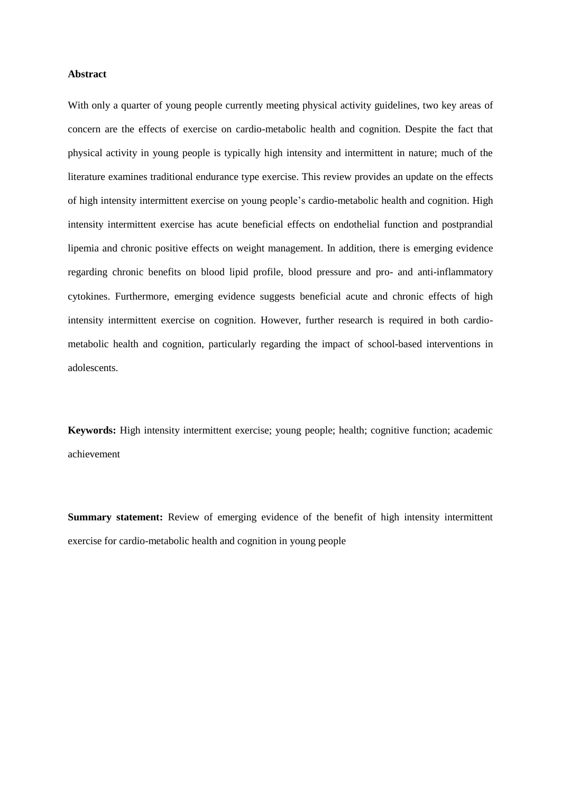## **Abstract**

With only a quarter of young people currently meeting physical activity guidelines, two key areas of concern are the effects of exercise on cardio-metabolic health and cognition. Despite the fact that physical activity in young people is typically high intensity and intermittent in nature; much of the literature examines traditional endurance type exercise. This review provides an update on the effects of high intensity intermittent exercise on young people's cardio-metabolic health and cognition. High intensity intermittent exercise has acute beneficial effects on endothelial function and postprandial lipemia and chronic positive effects on weight management. In addition, there is emerging evidence regarding chronic benefits on blood lipid profile, blood pressure and pro- and anti-inflammatory cytokines. Furthermore, emerging evidence suggests beneficial acute and chronic effects of high intensity intermittent exercise on cognition. However, further research is required in both cardiometabolic health and cognition, particularly regarding the impact of school-based interventions in adolescents.

**Keywords:** High intensity intermittent exercise; young people; health; cognitive function; academic achievement

**Summary statement:** Review of emerging evidence of the benefit of high intensity intermittent exercise for cardio-metabolic health and cognition in young people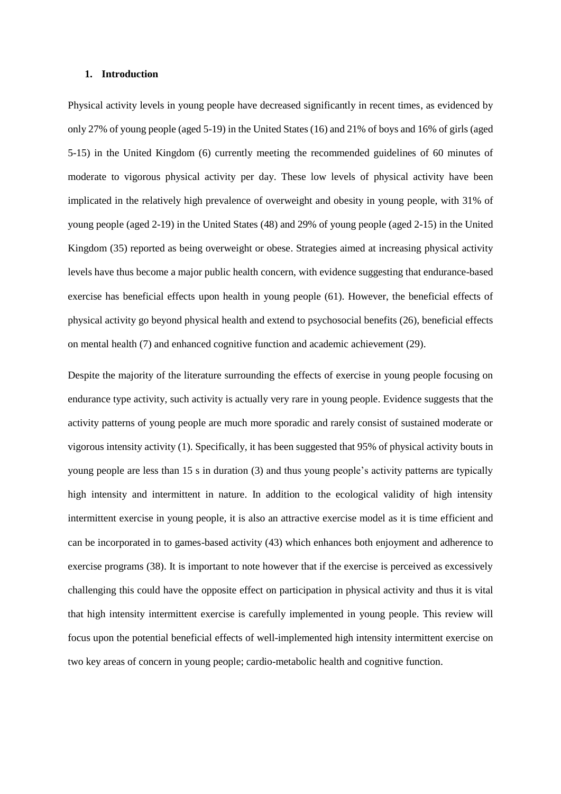#### **1. Introduction**

Physical activity levels in young people have decreased significantly in recent times, as evidenced by only 27% of young people (aged 5-19) in the United States (16) and 21% of boys and 16% of girls (aged 5-15) in the United Kingdom (6) currently meeting the recommended guidelines of 60 minutes of moderate to vigorous physical activity per day. These low levels of physical activity have been implicated in the relatively high prevalence of overweight and obesity in young people, with 31% of young people (aged 2-19) in the United States (48) and 29% of young people (aged 2-15) in the United Kingdom (35) reported as being overweight or obese. Strategies aimed at increasing physical activity levels have thus become a major public health concern, with evidence suggesting that endurance-based exercise has beneficial effects upon health in young people (61). However, the beneficial effects of physical activity go beyond physical health and extend to psychosocial benefits (26), beneficial effects on mental health (7) and enhanced cognitive function and academic achievement (29).

Despite the majority of the literature surrounding the effects of exercise in young people focusing on endurance type activity, such activity is actually very rare in young people. Evidence suggests that the activity patterns of young people are much more sporadic and rarely consist of sustained moderate or vigorous intensity activity (1). Specifically, it has been suggested that 95% of physical activity bouts in young people are less than 15 s in duration (3) and thus young people's activity patterns are typically high intensity and intermittent in nature. In addition to the ecological validity of high intensity intermittent exercise in young people, it is also an attractive exercise model as it is time efficient and can be incorporated in to games-based activity (43) which enhances both enjoyment and adherence to exercise programs (38). It is important to note however that if the exercise is perceived as excessively challenging this could have the opposite effect on participation in physical activity and thus it is vital that high intensity intermittent exercise is carefully implemented in young people. This review will focus upon the potential beneficial effects of well-implemented high intensity intermittent exercise on two key areas of concern in young people; cardio-metabolic health and cognitive function.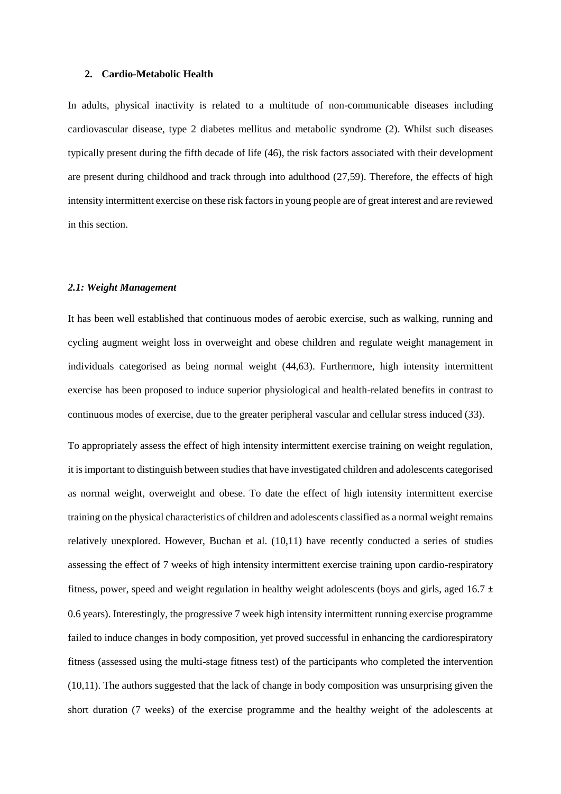#### **2. Cardio-Metabolic Health**

In adults, physical inactivity is related to a multitude of non-communicable diseases including cardiovascular disease, type 2 diabetes mellitus and metabolic syndrome (2). Whilst such diseases typically present during the fifth decade of life (46), the risk factors associated with their development are present during childhood and track through into adulthood (27,59). Therefore, the effects of high intensity intermittent exercise on these risk factors in young people are of great interest and are reviewed in this section.

## *2.1: Weight Management*

It has been well established that continuous modes of aerobic exercise, such as walking, running and cycling augment weight loss in overweight and obese children and regulate weight management in individuals categorised as being normal weight (44,63). Furthermore, high intensity intermittent exercise has been proposed to induce superior physiological and health-related benefits in contrast to continuous modes of exercise, due to the greater peripheral vascular and cellular stress induced (33).

To appropriately assess the effect of high intensity intermittent exercise training on weight regulation, it is important to distinguish between studies that have investigated children and adolescents categorised as normal weight, overweight and obese. To date the effect of high intensity intermittent exercise training on the physical characteristics of children and adolescents classified as a normal weight remains relatively unexplored. However, Buchan et al. (10,11) have recently conducted a series of studies assessing the effect of 7 weeks of high intensity intermittent exercise training upon cardio-respiratory fitness, power, speed and weight regulation in healthy weight adolescents (boys and girls, aged 16.7  $\pm$ 0.6 years). Interestingly, the progressive 7 week high intensity intermittent running exercise programme failed to induce changes in body composition, yet proved successful in enhancing the cardiorespiratory fitness (assessed using the multi-stage fitness test) of the participants who completed the intervention (10,11). The authors suggested that the lack of change in body composition was unsurprising given the short duration (7 weeks) of the exercise programme and the healthy weight of the adolescents at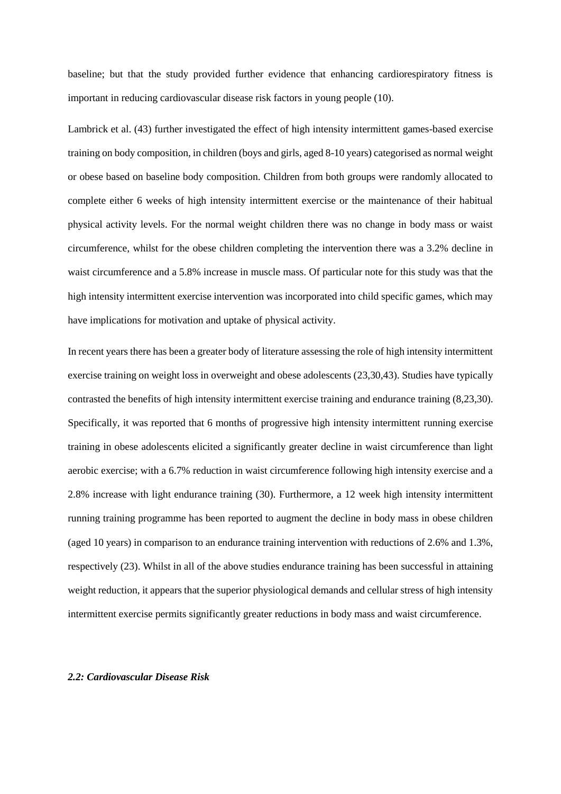baseline; but that the study provided further evidence that enhancing cardiorespiratory fitness is important in reducing cardiovascular disease risk factors in young people (10).

Lambrick et al. (43) further investigated the effect of high intensity intermittent games-based exercise training on body composition, in children (boys and girls, aged 8-10 years) categorised as normal weight or obese based on baseline body composition. Children from both groups were randomly allocated to complete either 6 weeks of high intensity intermittent exercise or the maintenance of their habitual physical activity levels. For the normal weight children there was no change in body mass or waist circumference, whilst for the obese children completing the intervention there was a 3.2% decline in waist circumference and a 5.8% increase in muscle mass. Of particular note for this study was that the high intensity intermittent exercise intervention was incorporated into child specific games, which may have implications for motivation and uptake of physical activity.

In recent years there has been a greater body of literature assessing the role of high intensity intermittent exercise training on weight loss in overweight and obese adolescents (23,30,43). Studies have typically contrasted the benefits of high intensity intermittent exercise training and endurance training (8,23,30). Specifically, it was reported that 6 months of progressive high intensity intermittent running exercise training in obese adolescents elicited a significantly greater decline in waist circumference than light aerobic exercise; with a 6.7% reduction in waist circumference following high intensity exercise and a 2.8% increase with light endurance training (30). Furthermore, a 12 week high intensity intermittent running training programme has been reported to augment the decline in body mass in obese children (aged 10 years) in comparison to an endurance training intervention with reductions of 2.6% and 1.3%, respectively (23). Whilst in all of the above studies endurance training has been successful in attaining weight reduction, it appears that the superior physiological demands and cellular stress of high intensity intermittent exercise permits significantly greater reductions in body mass and waist circumference.

# *2.2: Cardiovascular Disease Risk*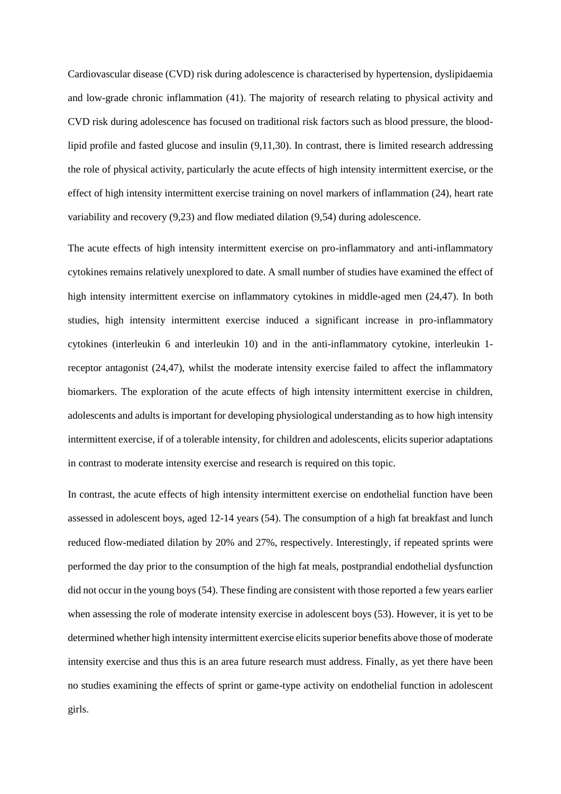Cardiovascular disease (CVD) risk during adolescence is characterised by hypertension, dyslipidaemia and low-grade chronic inflammation (41). The majority of research relating to physical activity and CVD risk during adolescence has focused on traditional risk factors such as blood pressure, the bloodlipid profile and fasted glucose and insulin (9,11,30). In contrast, there is limited research addressing the role of physical activity, particularly the acute effects of high intensity intermittent exercise, or the effect of high intensity intermittent exercise training on novel markers of inflammation (24), heart rate variability and recovery (9,23) and flow mediated dilation (9,54) during adolescence.

The acute effects of high intensity intermittent exercise on pro-inflammatory and anti-inflammatory cytokines remains relatively unexplored to date. A small number of studies have examined the effect of high intensity intermittent exercise on inflammatory cytokines in middle-aged men (24,47). In both studies, high intensity intermittent exercise induced a significant increase in pro-inflammatory cytokines (interleukin 6 and interleukin 10) and in the anti-inflammatory cytokine, interleukin 1 receptor antagonist (24,47), whilst the moderate intensity exercise failed to affect the inflammatory biomarkers. The exploration of the acute effects of high intensity intermittent exercise in children, adolescents and adults is important for developing physiological understanding as to how high intensity intermittent exercise, if of a tolerable intensity, for children and adolescents, elicits superior adaptations in contrast to moderate intensity exercise and research is required on this topic.

In contrast, the acute effects of high intensity intermittent exercise on endothelial function have been assessed in adolescent boys, aged 12-14 years (54). The consumption of a high fat breakfast and lunch reduced flow-mediated dilation by 20% and 27%, respectively. Interestingly, if repeated sprints were performed the day prior to the consumption of the high fat meals, postprandial endothelial dysfunction did not occur in the young boys (54). These finding are consistent with those reported a few years earlier when assessing the role of moderate intensity exercise in adolescent boys (53). However, it is yet to be determined whether high intensity intermittent exercise elicits superior benefits above those of moderate intensity exercise and thus this is an area future research must address. Finally, as yet there have been no studies examining the effects of sprint or game-type activity on endothelial function in adolescent girls.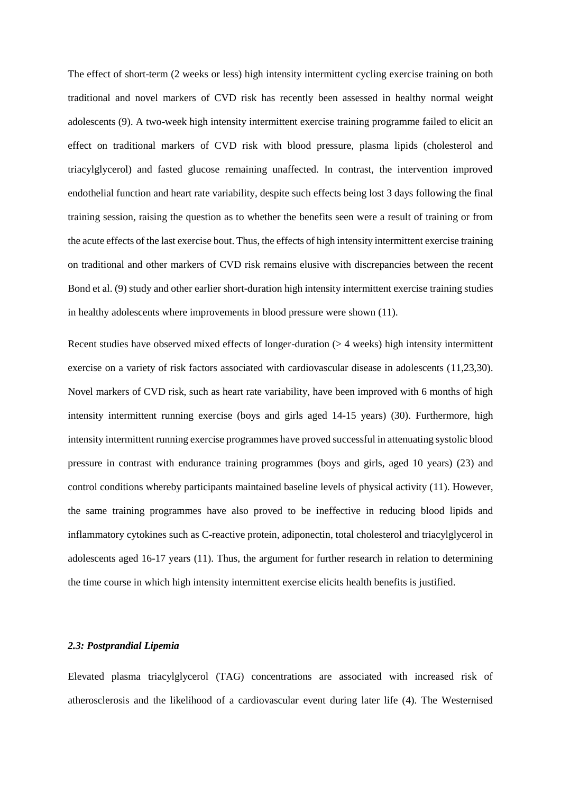The effect of short-term (2 weeks or less) high intensity intermittent cycling exercise training on both traditional and novel markers of CVD risk has recently been assessed in healthy normal weight adolescents (9). A two-week high intensity intermittent exercise training programme failed to elicit an effect on traditional markers of CVD risk with blood pressure, plasma lipids (cholesterol and triacylglycerol) and fasted glucose remaining unaffected. In contrast, the intervention improved endothelial function and heart rate variability, despite such effects being lost 3 days following the final training session, raising the question as to whether the benefits seen were a result of training or from the acute effects of the last exercise bout. Thus, the effects of high intensity intermittent exercise training on traditional and other markers of CVD risk remains elusive with discrepancies between the recent Bond et al. (9) study and other earlier short-duration high intensity intermittent exercise training studies in healthy adolescents where improvements in blood pressure were shown (11).

Recent studies have observed mixed effects of longer-duration (> 4 weeks) high intensity intermittent exercise on a variety of risk factors associated with cardiovascular disease in adolescents (11,23,30). Novel markers of CVD risk, such as heart rate variability, have been improved with 6 months of high intensity intermittent running exercise (boys and girls aged 14-15 years) (30). Furthermore, high intensity intermittent running exercise programmes have proved successful in attenuating systolic blood pressure in contrast with endurance training programmes (boys and girls, aged 10 years) (23) and control conditions whereby participants maintained baseline levels of physical activity (11). However, the same training programmes have also proved to be ineffective in reducing blood lipids and inflammatory cytokines such as C-reactive protein, adiponectin, total cholesterol and triacylglycerol in adolescents aged 16-17 years (11). Thus, the argument for further research in relation to determining the time course in which high intensity intermittent exercise elicits health benefits is justified.

# *2.3: Postprandial Lipemia*

Elevated plasma triacylglycerol (TAG) concentrations are associated with increased risk of atherosclerosis and the likelihood of a cardiovascular event during later life (4). The Westernised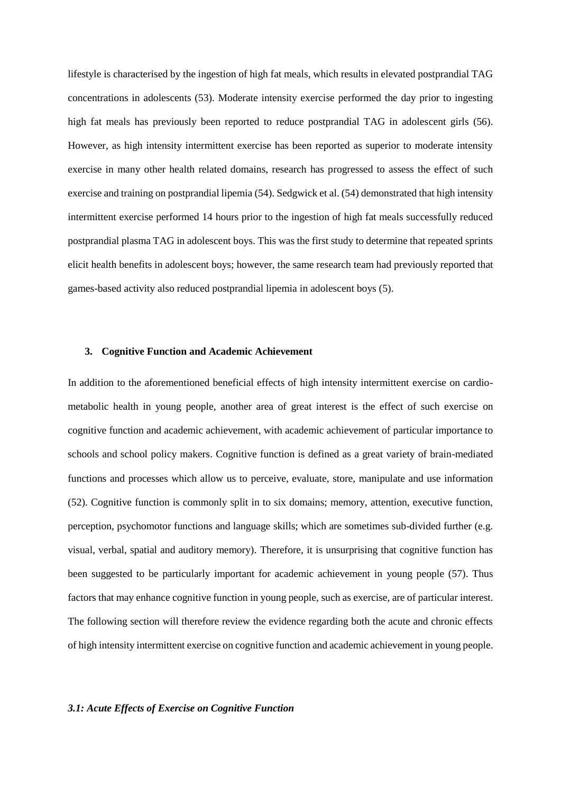lifestyle is characterised by the ingestion of high fat meals, which results in elevated postprandial TAG concentrations in adolescents (53). Moderate intensity exercise performed the day prior to ingesting high fat meals has previously been reported to reduce postprandial TAG in adolescent girls (56). However, as high intensity intermittent exercise has been reported as superior to moderate intensity exercise in many other health related domains, research has progressed to assess the effect of such exercise and training on postprandial lipemia (54). Sedgwick et al. (54) demonstrated that high intensity intermittent exercise performed 14 hours prior to the ingestion of high fat meals successfully reduced postprandial plasma TAG in adolescent boys. This was the first study to determine that repeated sprints elicit health benefits in adolescent boys; however, the same research team had previously reported that games-based activity also reduced postprandial lipemia in adolescent boys (5).

## **3. Cognitive Function and Academic Achievement**

In addition to the aforementioned beneficial effects of high intensity intermittent exercise on cardiometabolic health in young people, another area of great interest is the effect of such exercise on cognitive function and academic achievement, with academic achievement of particular importance to schools and school policy makers. Cognitive function is defined as a great variety of brain-mediated functions and processes which allow us to perceive, evaluate, store, manipulate and use information (52). Cognitive function is commonly split in to six domains; memory, attention, executive function, perception, psychomotor functions and language skills; which are sometimes sub-divided further (e.g. visual, verbal, spatial and auditory memory). Therefore, it is unsurprising that cognitive function has been suggested to be particularly important for academic achievement in young people (57). Thus factors that may enhance cognitive function in young people, such as exercise, are of particular interest. The following section will therefore review the evidence regarding both the acute and chronic effects of high intensity intermittent exercise on cognitive function and academic achievement in young people.

## *3.1: Acute Effects of Exercise on Cognitive Function*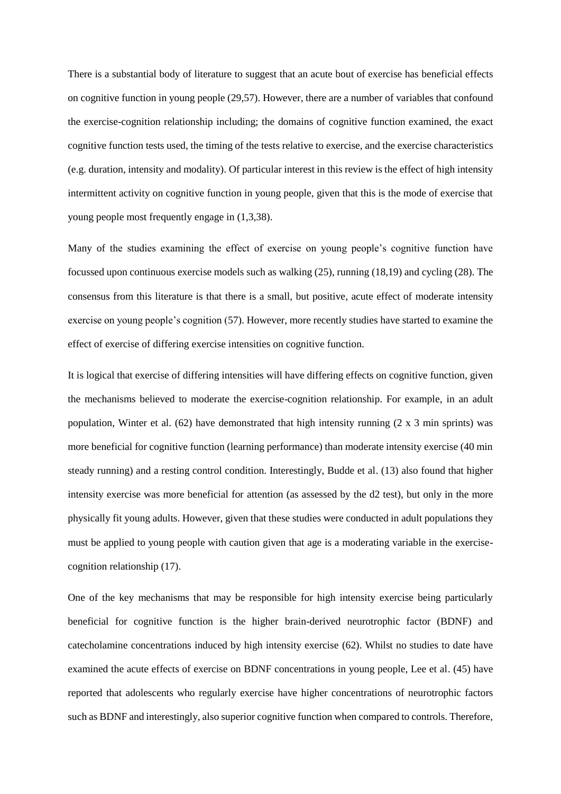There is a substantial body of literature to suggest that an acute bout of exercise has beneficial effects on cognitive function in young people (29,57). However, there are a number of variables that confound the exercise-cognition relationship including; the domains of cognitive function examined, the exact cognitive function tests used, the timing of the tests relative to exercise, and the exercise characteristics (e.g. duration, intensity and modality). Of particular interest in this review is the effect of high intensity intermittent activity on cognitive function in young people, given that this is the mode of exercise that young people most frequently engage in (1,3,38).

Many of the studies examining the effect of exercise on young people's cognitive function have focussed upon continuous exercise models such as walking (25), running (18,19) and cycling (28). The consensus from this literature is that there is a small, but positive, acute effect of moderate intensity exercise on young people's cognition (57). However, more recently studies have started to examine the effect of exercise of differing exercise intensities on cognitive function.

It is logical that exercise of differing intensities will have differing effects on cognitive function, given the mechanisms believed to moderate the exercise-cognition relationship. For example, in an adult population, Winter et al. (62) have demonstrated that high intensity running (2 x 3 min sprints) was more beneficial for cognitive function (learning performance) than moderate intensity exercise (40 min steady running) and a resting control condition. Interestingly, Budde et al. (13) also found that higher intensity exercise was more beneficial for attention (as assessed by the d2 test), but only in the more physically fit young adults. However, given that these studies were conducted in adult populations they must be applied to young people with caution given that age is a moderating variable in the exercisecognition relationship (17).

One of the key mechanisms that may be responsible for high intensity exercise being particularly beneficial for cognitive function is the higher brain-derived neurotrophic factor (BDNF) and catecholamine concentrations induced by high intensity exercise (62). Whilst no studies to date have examined the acute effects of exercise on BDNF concentrations in young people, Lee et al. (45) have reported that adolescents who regularly exercise have higher concentrations of neurotrophic factors such as BDNF and interestingly, also superior cognitive function when compared to controls. Therefore,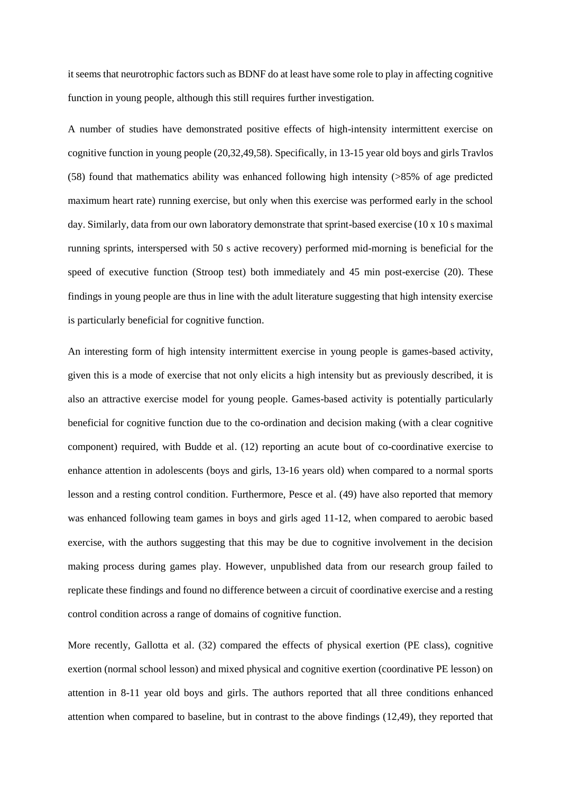it seems that neurotrophic factors such as BDNF do at least have some role to play in affecting cognitive function in young people, although this still requires further investigation.

A number of studies have demonstrated positive effects of high-intensity intermittent exercise on cognitive function in young people (20,32,49,58). Specifically, in 13-15 year old boys and girls Travlos (58) found that mathematics ability was enhanced following high intensity (>85% of age predicted maximum heart rate) running exercise, but only when this exercise was performed early in the school day. Similarly, data from our own laboratory demonstrate that sprint-based exercise (10 x 10 s maximal running sprints, interspersed with 50 s active recovery) performed mid-morning is beneficial for the speed of executive function (Stroop test) both immediately and 45 min post-exercise (20). These findings in young people are thus in line with the adult literature suggesting that high intensity exercise is particularly beneficial for cognitive function.

An interesting form of high intensity intermittent exercise in young people is games-based activity, given this is a mode of exercise that not only elicits a high intensity but as previously described, it is also an attractive exercise model for young people. Games-based activity is potentially particularly beneficial for cognitive function due to the co-ordination and decision making (with a clear cognitive component) required, with Budde et al. (12) reporting an acute bout of co-coordinative exercise to enhance attention in adolescents (boys and girls, 13-16 years old) when compared to a normal sports lesson and a resting control condition. Furthermore, Pesce et al. (49) have also reported that memory was enhanced following team games in boys and girls aged 11-12, when compared to aerobic based exercise, with the authors suggesting that this may be due to cognitive involvement in the decision making process during games play. However, unpublished data from our research group failed to replicate these findings and found no difference between a circuit of coordinative exercise and a resting control condition across a range of domains of cognitive function.

More recently, Gallotta et al. (32) compared the effects of physical exertion (PE class), cognitive exertion (normal school lesson) and mixed physical and cognitive exertion (coordinative PE lesson) on attention in 8-11 year old boys and girls. The authors reported that all three conditions enhanced attention when compared to baseline, but in contrast to the above findings (12,49), they reported that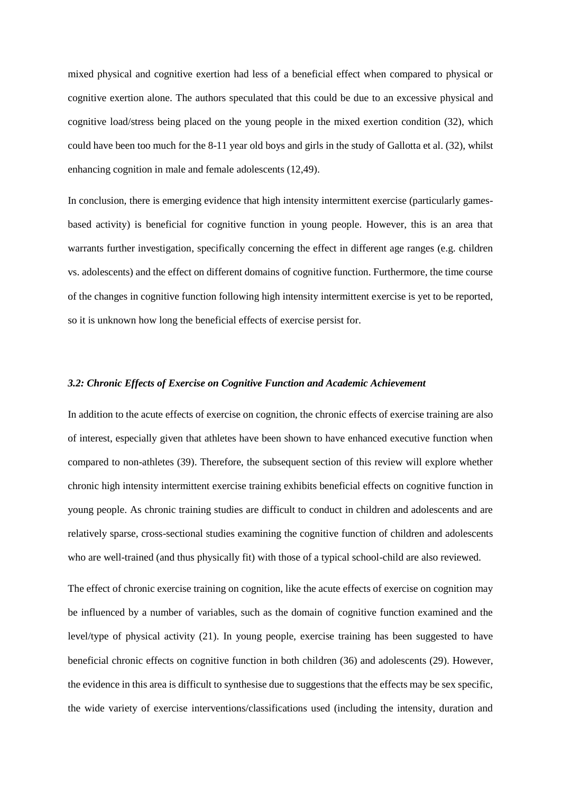mixed physical and cognitive exertion had less of a beneficial effect when compared to physical or cognitive exertion alone. The authors speculated that this could be due to an excessive physical and cognitive load/stress being placed on the young people in the mixed exertion condition (32), which could have been too much for the 8-11 year old boys and girls in the study of Gallotta et al. (32), whilst enhancing cognition in male and female adolescents (12,49).

In conclusion, there is emerging evidence that high intensity intermittent exercise (particularly gamesbased activity) is beneficial for cognitive function in young people. However, this is an area that warrants further investigation, specifically concerning the effect in different age ranges (e.g. children vs. adolescents) and the effect on different domains of cognitive function. Furthermore, the time course of the changes in cognitive function following high intensity intermittent exercise is yet to be reported, so it is unknown how long the beneficial effects of exercise persist for.

# *3.2: Chronic Effects of Exercise on Cognitive Function and Academic Achievement*

In addition to the acute effects of exercise on cognition, the chronic effects of exercise training are also of interest, especially given that athletes have been shown to have enhanced executive function when compared to non-athletes (39). Therefore, the subsequent section of this review will explore whether chronic high intensity intermittent exercise training exhibits beneficial effects on cognitive function in young people. As chronic training studies are difficult to conduct in children and adolescents and are relatively sparse, cross-sectional studies examining the cognitive function of children and adolescents who are well-trained (and thus physically fit) with those of a typical school-child are also reviewed.

The effect of chronic exercise training on cognition, like the acute effects of exercise on cognition may be influenced by a number of variables, such as the domain of cognitive function examined and the level/type of physical activity (21). In young people, exercise training has been suggested to have beneficial chronic effects on cognitive function in both children (36) and adolescents (29). However, the evidence in this area is difficult to synthesise due to suggestions that the effects may be sex specific, the wide variety of exercise interventions/classifications used (including the intensity, duration and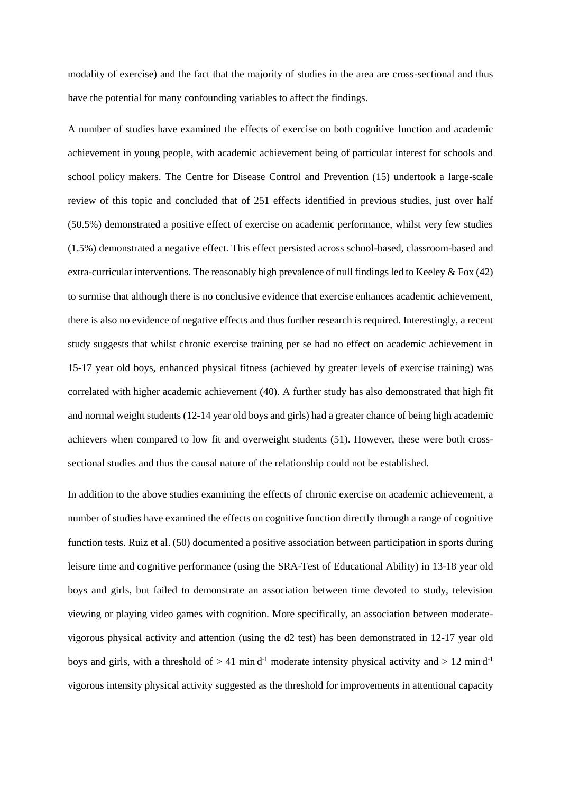modality of exercise) and the fact that the majority of studies in the area are cross-sectional and thus have the potential for many confounding variables to affect the findings.

A number of studies have examined the effects of exercise on both cognitive function and academic achievement in young people, with academic achievement being of particular interest for schools and school policy makers. The Centre for Disease Control and Prevention (15) undertook a large-scale review of this topic and concluded that of 251 effects identified in previous studies, just over half (50.5%) demonstrated a positive effect of exercise on academic performance, whilst very few studies (1.5%) demonstrated a negative effect. This effect persisted across school-based, classroom-based and extra-curricular interventions. The reasonably high prevalence of null findings led to Keeley & Fox (42) to surmise that although there is no conclusive evidence that exercise enhances academic achievement, there is also no evidence of negative effects and thus further research is required. Interestingly, a recent study suggests that whilst chronic exercise training per se had no effect on academic achievement in 15-17 year old boys, enhanced physical fitness (achieved by greater levels of exercise training) was correlated with higher academic achievement (40). A further study has also demonstrated that high fit and normal weight students (12-14 year old boys and girls) had a greater chance of being high academic achievers when compared to low fit and overweight students (51). However, these were both crosssectional studies and thus the causal nature of the relationship could not be established.

In addition to the above studies examining the effects of chronic exercise on academic achievement, a number of studies have examined the effects on cognitive function directly through a range of cognitive function tests. Ruiz et al. (50) documented a positive association between participation in sports during leisure time and cognitive performance (using the SRA-Test of Educational Ability) in 13-18 year old boys and girls, but failed to demonstrate an association between time devoted to study, television viewing or playing video games with cognition. More specifically, an association between moderatevigorous physical activity and attention (using the d2 test) has been demonstrated in 12-17 year old boys and girls, with a threshold of  $> 41$  mind<sup>-1</sup> moderate intensity physical activity and  $> 12$  mind<sup>-1</sup> vigorous intensity physical activity suggested as the threshold for improvements in attentional capacity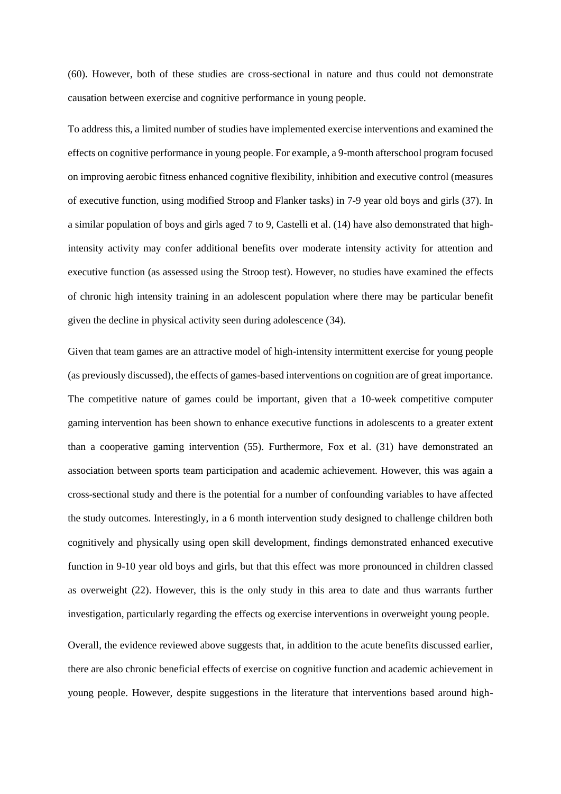(60). However, both of these studies are cross-sectional in nature and thus could not demonstrate causation between exercise and cognitive performance in young people.

To address this, a limited number of studies have implemented exercise interventions and examined the effects on cognitive performance in young people. For example, a 9-month afterschool program focused on improving aerobic fitness enhanced cognitive flexibility, inhibition and executive control (measures of executive function, using modified Stroop and Flanker tasks) in 7-9 year old boys and girls (37). In a similar population of boys and girls aged 7 to 9, Castelli et al. (14) have also demonstrated that highintensity activity may confer additional benefits over moderate intensity activity for attention and executive function (as assessed using the Stroop test). However, no studies have examined the effects of chronic high intensity training in an adolescent population where there may be particular benefit given the decline in physical activity seen during adolescence (34).

Given that team games are an attractive model of high-intensity intermittent exercise for young people (as previously discussed), the effects of games-based interventions on cognition are of great importance. The competitive nature of games could be important, given that a 10-week competitive computer gaming intervention has been shown to enhance executive functions in adolescents to a greater extent than a cooperative gaming intervention (55). Furthermore, Fox et al. (31) have demonstrated an association between sports team participation and academic achievement. However, this was again a cross-sectional study and there is the potential for a number of confounding variables to have affected the study outcomes. Interestingly, in a 6 month intervention study designed to challenge children both cognitively and physically using open skill development, findings demonstrated enhanced executive function in 9-10 year old boys and girls, but that this effect was more pronounced in children classed as overweight (22). However, this is the only study in this area to date and thus warrants further investigation, particularly regarding the effects og exercise interventions in overweight young people.

Overall, the evidence reviewed above suggests that, in addition to the acute benefits discussed earlier, there are also chronic beneficial effects of exercise on cognitive function and academic achievement in young people. However, despite suggestions in the literature that interventions based around high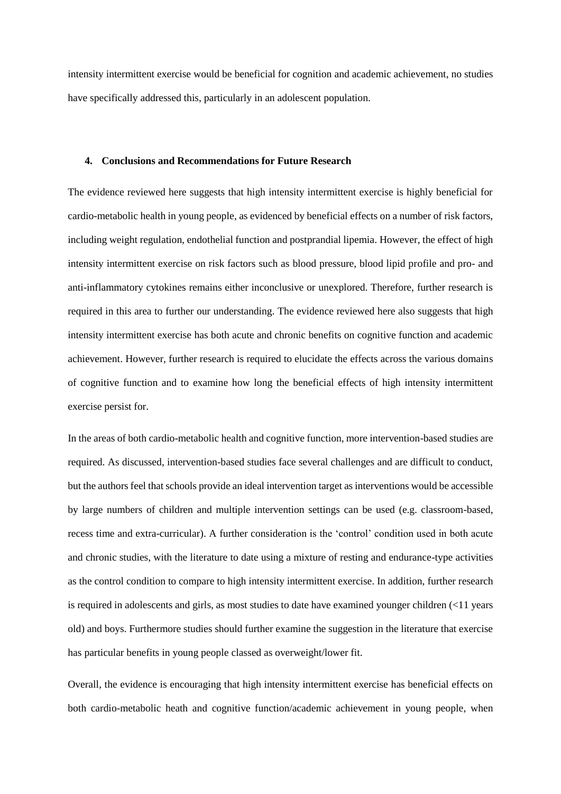intensity intermittent exercise would be beneficial for cognition and academic achievement, no studies have specifically addressed this, particularly in an adolescent population.

## **4. Conclusions and Recommendations for Future Research**

The evidence reviewed here suggests that high intensity intermittent exercise is highly beneficial for cardio-metabolic health in young people, as evidenced by beneficial effects on a number of risk factors, including weight regulation, endothelial function and postprandial lipemia. However, the effect of high intensity intermittent exercise on risk factors such as blood pressure, blood lipid profile and pro- and anti-inflammatory cytokines remains either inconclusive or unexplored. Therefore, further research is required in this area to further our understanding. The evidence reviewed here also suggests that high intensity intermittent exercise has both acute and chronic benefits on cognitive function and academic achievement. However, further research is required to elucidate the effects across the various domains of cognitive function and to examine how long the beneficial effects of high intensity intermittent exercise persist for.

In the areas of both cardio-metabolic health and cognitive function, more intervention-based studies are required. As discussed, intervention-based studies face several challenges and are difficult to conduct, but the authors feel that schools provide an ideal intervention target as interventions would be accessible by large numbers of children and multiple intervention settings can be used (e.g. classroom-based, recess time and extra-curricular). A further consideration is the 'control' condition used in both acute and chronic studies, with the literature to date using a mixture of resting and endurance-type activities as the control condition to compare to high intensity intermittent exercise. In addition, further research is required in adolescents and girls, as most studies to date have examined younger children (<11 years old) and boys. Furthermore studies should further examine the suggestion in the literature that exercise has particular benefits in young people classed as overweight/lower fit.

Overall, the evidence is encouraging that high intensity intermittent exercise has beneficial effects on both cardio-metabolic heath and cognitive function/academic achievement in young people, when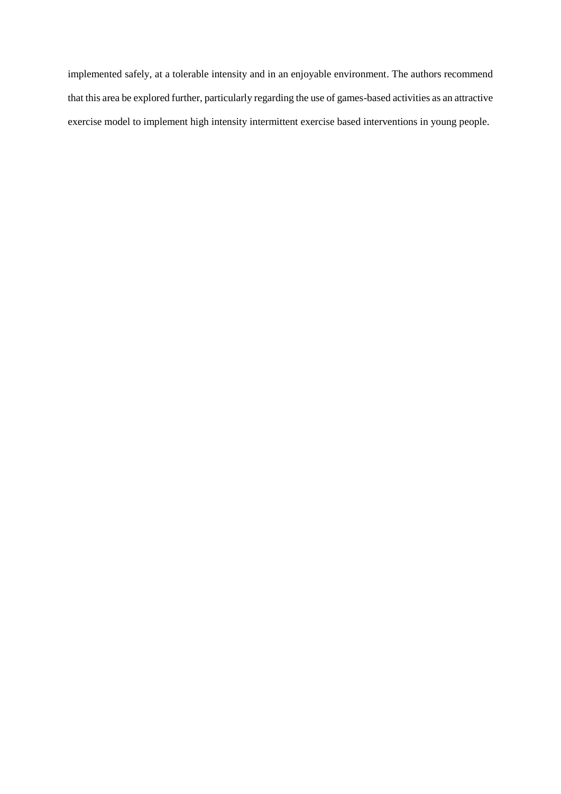implemented safely, at a tolerable intensity and in an enjoyable environment. The authors recommend that this area be explored further, particularly regarding the use of games-based activities as an attractive exercise model to implement high intensity intermittent exercise based interventions in young people.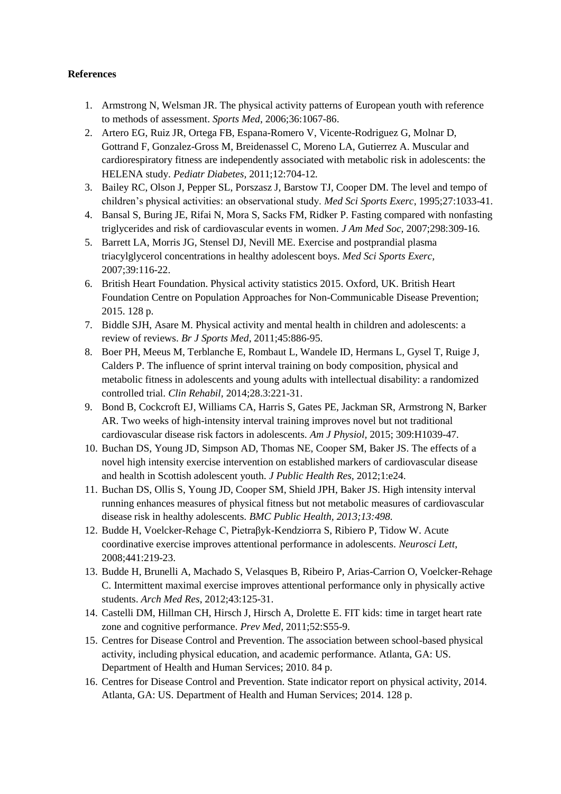# **References**

- 1. Armstrong N, Welsman JR. The physical activity patterns of European youth with reference to methods of assessment. *Sports Med*, 2006;36:1067-86.
- 2. Artero EG, Ruiz JR, Ortega FB, Espana-Romero V, Vicente-Rodriguez G, Molnar D, Gottrand F, Gonzalez-Gross M, Breidenassel C, Moreno LA, Gutierrez A. Muscular and cardiorespiratory fitness are independently associated with metabolic risk in adolescents: the HELENA study. *Pediatr Diabetes,* 2011;12:704-12*.*
- 3. Bailey RC, Olson J, Pepper SL, Porszasz J, Barstow TJ, Cooper DM. The level and tempo of children's physical activities: an observational study. *Med Sci Sports Exerc*, 1995;27:1033-41.
- 4. Bansal S, Buring JE, Rifai N, Mora S, Sacks FM, Ridker P. Fasting compared with nonfasting triglycerides and risk of cardiovascular events in women. *J Am Med Soc,* 2007;298:309-16*.*
- 5. Barrett LA, Morris JG, Stensel DJ, Nevill ME. Exercise and postprandial plasma triacylglycerol concentrations in healthy adolescent boys. *Med Sci Sports Exerc,*  2007;39:116-22.
- 6. British Heart Foundation. Physical activity statistics 2015. Oxford, UK. British Heart Foundation Centre on Population Approaches for Non-Communicable Disease Prevention; 2015. 128 p.
- 7. Biddle SJH, Asare M. Physical activity and mental health in children and adolescents: a review of reviews. *Br J Sports Med*, 2011;45:886-95.
- 8. Boer PH, Meeus M, Terblanche E, Rombaut L, Wandele ID, Hermans L, Gysel T, Ruige J, Calders P. The influence of sprint interval training on body composition, physical and metabolic fitness in adolescents and young adults with intellectual disability: a randomized controlled trial. *Clin Rehabil,* 2014;28.3:221-31.
- 9. Bond B, Cockcroft EJ, Williams CA, Harris S, Gates PE, Jackman SR, Armstrong N, Barker AR. Two weeks of high-intensity interval training improves novel but not traditional cardiovascular disease risk factors in adolescents. *Am J Physiol,* 2015; 309:H1039-47*.*
- 10. Buchan DS, Young JD, Simpson AD, Thomas NE, Cooper SM, Baker JS. The effects of a novel high intensity exercise intervention on established markers of cardiovascular disease and health in Scottish adolescent youth. *J Public Health Res,* 2012;1:e24.
- 11. Buchan DS, Ollis S, Young JD, Cooper SM, Shield JPH, Baker JS. High intensity interval running enhances measures of physical fitness but not metabolic measures of cardiovascular disease risk in healthy adolescents. *BMC Public Health, 2013;13:498.*
- 12. Budde H, Voelcker-Rehage C, Pietraβyk-Kendziorra S, Ribiero P, Tidow W. Acute coordinative exercise improves attentional performance in adolescents. *Neurosci Lett*, 2008;441:219-23.
- 13. Budde H, Brunelli A, Machado S, Velasques B, Ribeiro P, Arias-Carrion O, Voelcker-Rehage C. Intermittent maximal exercise improves attentional performance only in physically active students. *Arch Med Res*, 2012;43:125-31.
- 14. Castelli DM, Hillman CH, Hirsch J, Hirsch A, Drolette E. FIT kids: time in target heart rate zone and cognitive performance. *Prev Med*, 2011;52:S55-9.
- 15. Centres for Disease Control and Prevention. The association between school-based physical activity, including physical education, and academic performance. Atlanta, GA: US. Department of Health and Human Services; 2010. 84 p.
- 16. Centres for Disease Control and Prevention. State indicator report on physical activity, 2014. Atlanta, GA: US. Department of Health and Human Services; 2014. 128 p.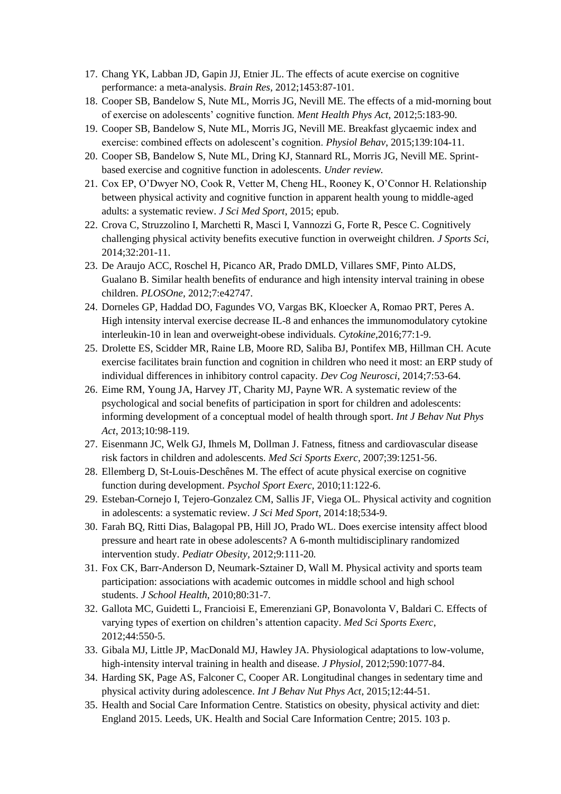- 17. Chang YK, Labban JD, Gapin JJ, Etnier JL. The effects of acute exercise on cognitive performance: a meta-analysis. *Brain Res,* 2012;1453:87-101.
- 18. Cooper SB, Bandelow S, Nute ML, Morris JG, Nevill ME. The effects of a mid-morning bout of exercise on adolescents' cognitive function. *Ment Health Phys Act,* 2012;5:183-90.
- 19. Cooper SB, Bandelow S, Nute ML, Morris JG, Nevill ME. Breakfast glycaemic index and exercise: combined effects on adolescent's cognition. *Physiol Behav*, 2015;139:104-11.
- 20. Cooper SB, Bandelow S, Nute ML, Dring KJ, Stannard RL, Morris JG, Nevill ME. Sprintbased exercise and cognitive function in adolescents. *Under review.*
- 21. Cox EP, O'Dwyer NO, Cook R, Vetter M, Cheng HL, Rooney K, O'Connor H. Relationship between physical activity and cognitive function in apparent health young to middle-aged adults: a systematic review. *J Sci Med Sport*, 2015; epub.
- 22. Crova C, Struzzolino I, Marchetti R, Masci I, Vannozzi G, Forte R, Pesce C. Cognitively challenging physical activity benefits executive function in overweight children. *J Sports Sci*, 2014;32:201-11.
- 23. De Araujo ACC, Roschel H, Picanco AR, Prado DMLD, Villares SMF, Pinto ALDS, Gualano B. Similar health benefits of endurance and high intensity interval training in obese children. *PLOSOne,* 2012;7:e42747.
- 24. Dorneles GP, Haddad DO, Fagundes VO, Vargas BK, Kloecker A, Romao PRT, Peres A. High intensity interval exercise decrease IL-8 and enhances the immunomodulatory cytokine interleukin-10 in lean and overweight-obese individuals. *Cytokine,*2016;77:1-9.
- 25. Drolette ES, Scidder MR, Raine LB, Moore RD, Saliba BJ, Pontifex MB, Hillman CH. Acute exercise facilitates brain function and cognition in children who need it most: an ERP study of individual differences in inhibitory control capacity. *Dev Cog Neurosci*, 2014;7:53-64.
- 26. Eime RM, Young JA, Harvey JT, Charity MJ, Payne WR. A systematic review of the psychological and social benefits of participation in sport for children and adolescents: informing development of a conceptual model of health through sport. *Int J Behav Nut Phys Act*, 2013;10:98-119.
- 27. Eisenmann JC, Welk GJ, Ihmels M, Dollman J. Fatness, fitness and cardiovascular disease risk factors in children and adolescents. *Med Sci Sports Exerc,* 2007;39:1251-56.
- 28. Ellemberg D, St-Louis-Deschênes M. The effect of acute physical exercise on cognitive function during development. *Psychol Sport Exerc,* 2010;11:122-6.
- 29. Esteban-Cornejo I, Tejero-Gonzalez CM, Sallis JF, Viega OL. Physical activity and cognition in adolescents: a systematic review. *J Sci Med Sport*, 2014:18;534-9.
- 30. Farah BQ, Ritti Dias, Balagopal PB, Hill JO, Prado WL. Does exercise intensity affect blood pressure and heart rate in obese adolescents? A 6-month multidisciplinary randomized intervention study. *Pediatr Obesity,* 2012;9:111-20*.*
- 31. Fox CK, Barr-Anderson D, Neumark-Sztainer D, Wall M. Physical activity and sports team participation: associations with academic outcomes in middle school and high school students. *J School Health*, 2010;80:31-7.
- 32. Gallota MC, Guidetti L, Francioisi E, Emerenziani GP, Bonavolonta V, Baldari C. Effects of varying types of exertion on children's attention capacity. *Med Sci Sports Exerc*, 2012;44:550-5.
- 33. Gibala MJ, Little JP, MacDonald MJ, Hawley JA. Physiological adaptations to low-volume, high-intensity interval training in health and disease. *J Physiol,* 2012;590:1077-84.
- 34. Harding SK, Page AS, Falconer C, Cooper AR. Longitudinal changes in sedentary time and physical activity during adolescence. *Int J Behav Nut Phys Act*, 2015;12:44-51.
- 35. Health and Social Care Information Centre. Statistics on obesity, physical activity and diet: England 2015. Leeds, UK. Health and Social Care Information Centre; 2015. 103 p.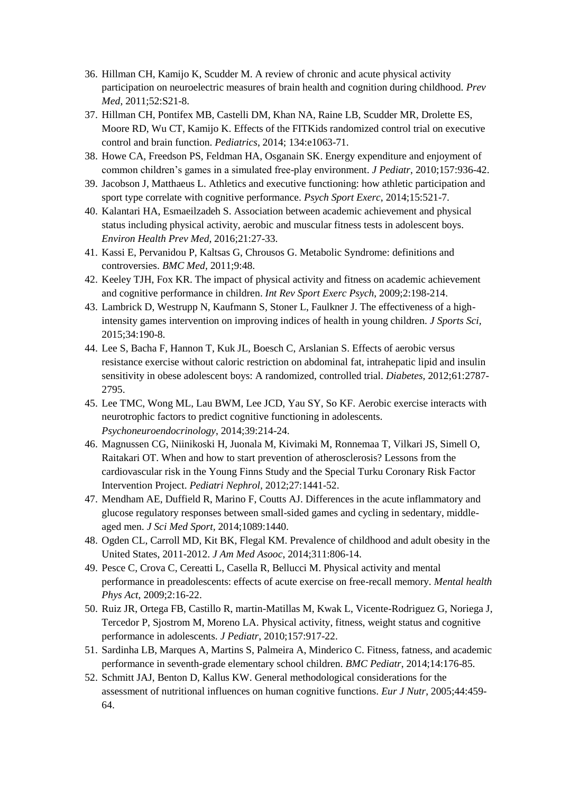- 36. Hillman CH, Kamijo K, Scudder M. A review of chronic and acute physical activity participation on neuroelectric measures of brain health and cognition during childhood. *Prev Med*, 2011;52:S21-8.
- 37. Hillman CH, Pontifex MB, Castelli DM, Khan NA, Raine LB, Scudder MR, Drolette ES, Moore RD, Wu CT, Kamijo K. Effects of the FITKids randomized control trial on executive control and brain function. *Pediatrics*, 2014; 134:e1063-71.
- 38. Howe CA, Freedson PS, Feldman HA, Osganain SK. Energy expenditure and enjoyment of common children's games in a simulated free-play environment. *J Pediatr*, 2010;157:936-42.
- 39. Jacobson J, Matthaeus L. Athletics and executive functioning: how athletic participation and sport type correlate with cognitive performance. *Psych Sport Exerc*, 2014;15:521-7.
- 40. Kalantari HA, Esmaeilzadeh S. Association between academic achievement and physical status including physical activity, aerobic and muscular fitness tests in adolescent boys. *Environ Health Prev Med*, 2016;21:27-33.
- 41. Kassi E, Pervanidou P, Kaltsas G, Chrousos G. Metabolic Syndrome: definitions and controversies. *BMC Med,* 2011;9:48.
- 42. Keeley TJH, Fox KR. The impact of physical activity and fitness on academic achievement and cognitive performance in children. *Int Rev Sport Exerc Psych*, 2009;2:198-214.
- 43. Lambrick D, Westrupp N, Kaufmann S, Stoner L, Faulkner J. The effectiveness of a highintensity games intervention on improving indices of health in young children. *J Sports Sci,*  2015;34:190-8.
- 44. Lee S, Bacha F, Hannon T, Kuk JL, Boesch C, Arslanian S. Effects of aerobic versus resistance exercise without caloric restriction on abdominal fat, intrahepatic lipid and insulin sensitivity in obese adolescent boys: A randomized, controlled trial. *Diabetes,* 2012;61:2787- 2795.
- 45. Lee TMC, Wong ML, Lau BWM, Lee JCD, Yau SY, So KF. Aerobic exercise interacts with neurotrophic factors to predict cognitive functioning in adolescents. *Psychoneuroendocrinology*, 2014;39:214-24.
- 46. Magnussen CG, Niinikoski H, Juonala M, Kivimaki M, Ronnemaa T, Vilkari JS, Simell O, Raitakari OT. When and how to start prevention of atherosclerosis? Lessons from the cardiovascular risk in the Young Finns Study and the Special Turku Coronary Risk Factor Intervention Project. *Pediatri Nephrol,* 2012;27:1441-52.
- 47. Mendham AE, Duffield R, Marino F, Coutts AJ. Differences in the acute inflammatory and glucose regulatory responses between small-sided games and cycling in sedentary, middleaged men. *J Sci Med Sport,* 2014;1089:1440.
- 48. Ogden CL, Carroll MD, Kit BK, Flegal KM. Prevalence of childhood and adult obesity in the United States, 2011-2012. *J Am Med Asooc*, 2014;311:806-14.
- 49. Pesce C, Crova C, Cereatti L, Casella R, Bellucci M. Physical activity and mental performance in preadolescents: effects of acute exercise on free-recall memory. *Mental health Phys Act*, 2009;2:16-22.
- 50. Ruiz JR, Ortega FB, Castillo R, martin-Matillas M, Kwak L, Vicente-Rodriguez G, Noriega J, Tercedor P, Sjostrom M, Moreno LA. Physical activity, fitness, weight status and cognitive performance in adolescents. *J Pediatr*, 2010;157:917-22.
- 51. Sardinha LB, Marques A, Martins S, Palmeira A, Minderico C. Fitness, fatness, and academic performance in seventh-grade elementary school children. *BMC Pediatr*, 2014;14:176-85.
- 52. Schmitt JAJ, Benton D, Kallus KW. General methodological considerations for the assessment of nutritional influences on human cognitive functions. *Eur J Nutr*, 2005;44:459- 64.